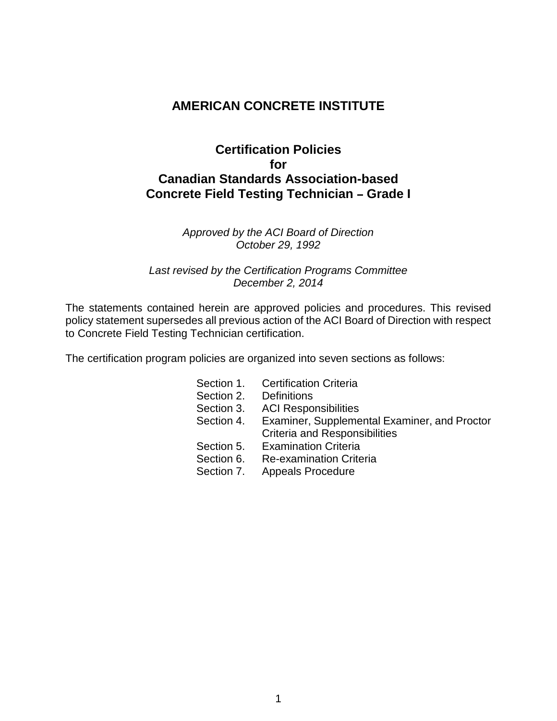# **AMERICAN CONCRETE INSTITUTE**

# **Certification Policies for Canadian Standards Association-based Concrete Field Testing Technician - Grade I**

#### *Approved by the ACI Board of Direction October 29, 1992*

#### *Last revised by the Certification Programs Committee December 2, 2014*

The statements contained herein are approved policies and procedures. This revised policy statement supersedes all previous action of the ACI Board of Direction with respect to Concrete Field Testing Technician certification.

The certification program policies are organized into seven sections as follows:

Section 1. Certification Criteria Section 2. Definitions<br>Section 3. ACI Respo **ACI Responsibilities** Section 4. Examiner, Supplemental Examiner, and Proctor Criteria and Responsibilities Section 5. Examination Criteria Section 6. Re-examination Criteria Section 7. Appeals Procedure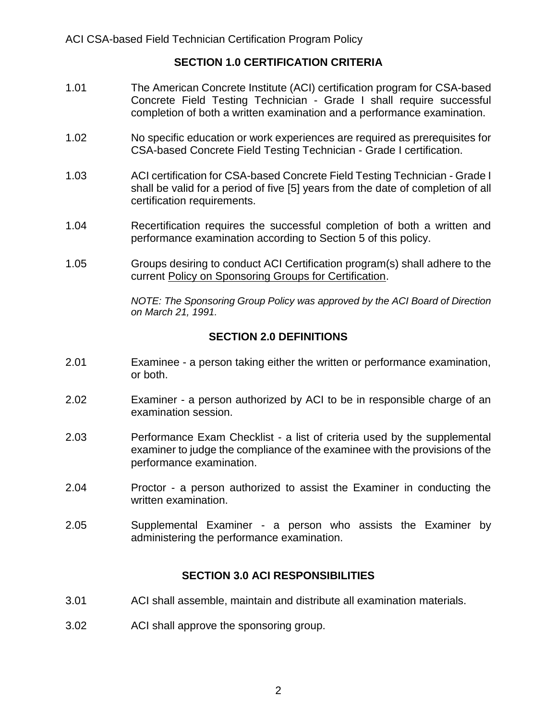# **SECTION 1.0 CERTIFICATION CRITERIA**

- 1.01 The American Concrete Institute (ACI) certification program for CSA-based Concrete Field Testing Technician - Grade I shall require successful completion of both a written examination and a performance examination.
- 1.02 No specific education or work experiences are required as prerequisites for CSA-based Concrete Field Testing Technician - Grade I certification.
- 1.03 ACI certification for CSA-based Concrete Field Testing Technician Grade I shall be valid for a period of five [5] years from the date of completion of all certification requirements.
- 1.04 Recertification requires the successful completion of both a written and performance examination according to Section 5 of this policy.
- 1.05 Groups desiring to conduct ACI Certification program(s) shall adhere to the current Policy on Sponsoring Groups for Certification.

*NOTE: The Sponsoring Group Policy was approved by the ACI Board of Direction on March 21, 1991.*

# **SECTION 2.0 DEFINITIONS**

- 2.01 Examinee a person taking either the written or performance examination, or both.
- 2.02 Examiner a person authorized by ACI to be in responsible charge of an examination session.
- 2.03 Performance Exam Checklist a list of criteria used by the supplemental examiner to judge the compliance of the examinee with the provisions of the performance examination.
- 2.04 Proctor a person authorized to assist the Examiner in conducting the written examination.
- 2.05 Supplemental Examiner a person who assists the Examiner by administering the performance examination.

### **SECTION 3.0 ACI RESPONSIBILITIES**

- 3.01 ACI shall assemble, maintain and distribute all examination materials.
- 3.02 ACI shall approve the sponsoring group.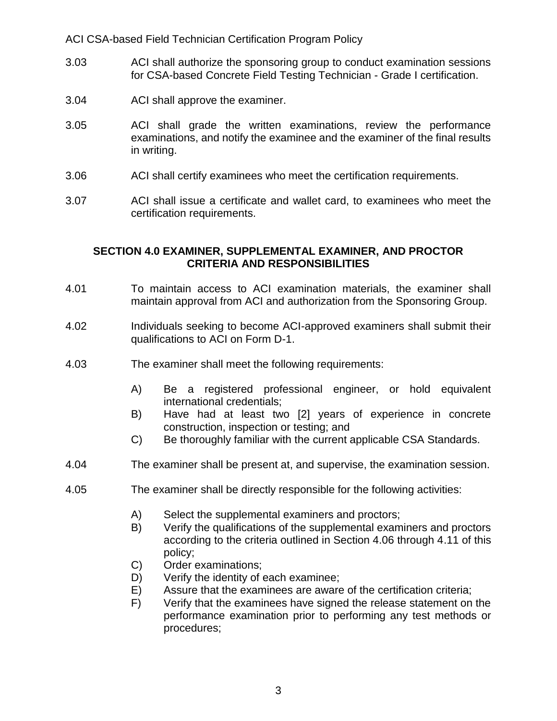ACI CSA-based Field Technician Certification Program Policy

- 3.03 ACI shall authorize the sponsoring group to conduct examination sessions for CSA-based Concrete Field Testing Technician - Grade I certification.
- 3.04 ACI shall approve the examiner.
- 3.05 ACI shall grade the written examinations, review the performance examinations, and notify the examinee and the examiner of the final results in writing.
- 3.06 ACI shall certify examinees who meet the certification requirements.
- 3.07 ACI shall issue a certificate and wallet card, to examinees who meet the certification requirements.

### **SECTION 4.0 EXAMINER, SUPPLEMENTAL EXAMINER, AND PROCTOR CRITERIA AND RESPONSIBILITIES**

- 4.01 To maintain access to ACI examination materials, the examiner shall maintain approval from ACI and authorization from the Sponsoring Group.
- 4.02 Individuals seeking to become ACI-approved examiners shall submit their qualifications to ACI on Form D-1.
- 4.03 The examiner shall meet the following requirements:
	- A) Be a registered professional engineer, or hold equivalent international credentials;
	- B) Have had at least two [2] years of experience in concrete construction, inspection or testing; and
	- C) Be thoroughly familiar with the current applicable CSA Standards.
- 4.04 The examiner shall be present at, and supervise, the examination session.
- 4.05 The examiner shall be directly responsible for the following activities:
	- A) Select the supplemental examiners and proctors;
	- B) Verify the qualifications of the supplemental examiners and proctors according to the criteria outlined in Section 4.06 through 4.11 of this policy;
	- C) Order examinations;
	- D) Verify the identity of each examinee;
	- E) Assure that the examinees are aware of the certification criteria;
	- F) Verify that the examinees have signed the release statement on the performance examination prior to performing any test methods or procedures;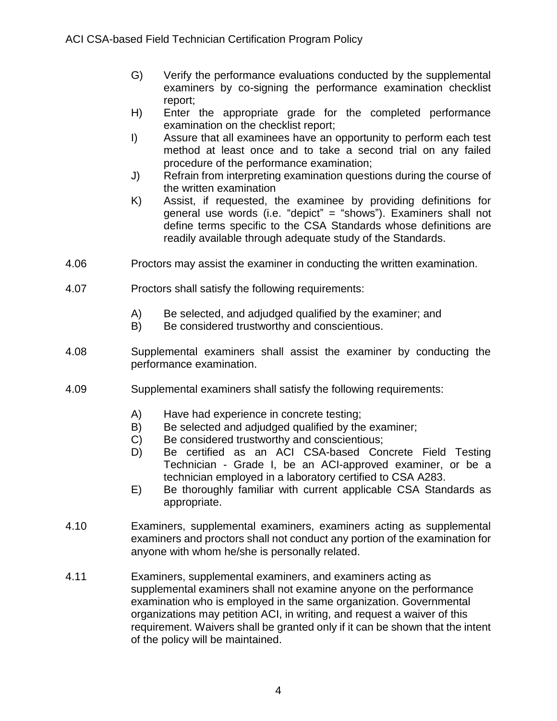- G) Verify the performance evaluations conducted by the supplemental examiners by co-signing the performance examination checklist report;
- H) Enter the appropriate grade for the completed performance examination on the checklist report;
- I) Assure that all examinees have an opportunity to perform each test method at least once and to take a second trial on any failed procedure of the performance examination;
- J) Refrain from interpreting examination questions during the course of the written examination
- K) Assist, if requested, the examinee by providing definitions for general use words (i.e. "depict" = "shows"). Examiners shall not define terms specific to the CSA Standards whose definitions are readily available through adequate study of the Standards.
- 4.06 Proctors may assist the examiner in conducting the written examination.
- 4.07 Proctors shall satisfy the following requirements:
	- A) Be selected, and adjudged qualified by the examiner; and
	- B) Be considered trustworthy and conscientious.
- 4.08 Supplemental examiners shall assist the examiner by conducting the performance examination.
- 4.09 Supplemental examiners shall satisfy the following requirements:
	- A) Have had experience in concrete testing;
	- B) Be selected and adjudged qualified by the examiner:
	- C) Be considered trustworthy and conscientious;
	- D) Be certified as an ACI CSA-based Concrete Field Testing Technician - Grade I, be an ACI-approved examiner, or be a technician employed in a laboratory certified to CSA A283.
	- E) Be thoroughly familiar with current applicable CSA Standards as appropriate.
- 4.10 Examiners, supplemental examiners, examiners acting as supplemental examiners and proctors shall not conduct any portion of the examination for anyone with whom he/she is personally related.
- 4.11 Examiners, supplemental examiners, and examiners acting as supplemental examiners shall not examine anyone on the performance examination who is employed in the same organization. Governmental organizations may petition ACI, in writing, and request a waiver of this requirement. Waivers shall be granted only if it can be shown that the intent of the policy will be maintained.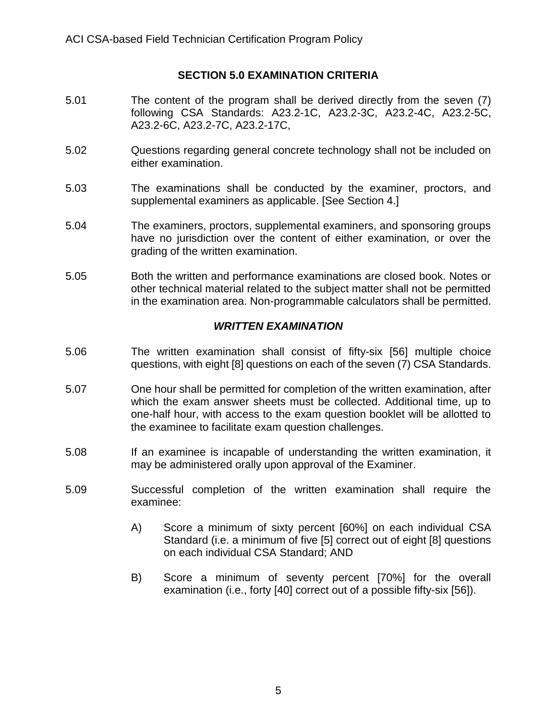# **SECTION 5.0 EXAMINATION CRITERIA**

- 5.01 The content of the program shall be derived directly from the seven (7) following CSA Standards: A23.2-1C, A23.2-3C, A23.2-4C, A23.2-5C, A23.2-6C, A23.2-7C, A23.2-17C,
- 5.02 Questions regarding general concrete technology shall not be included on either examination.
- 5.03 The examinations shall be conducted by the examiner, proctors, and supplemental examiners as applicable. [See Section 4.]
- 5.04 The examiners, proctors, supplemental examiners, and sponsoring groups have no jurisdiction over the content of either examination, or over the grading of the written examination.
- 5.05 Both the written and performance examinations are closed book. Notes or other technical material related to the subject matter shall not be permitted in the examination area. Non-programmable calculators shall be permitted.

# *WRITTEN EXAMINATION*

- 5.06 The written examination shall consist of fifty-six [56] multiple choice questions, with eight [8] questions on each of the seven (7) CSA Standards.
- 5.07 One hour shall be permitted for completion of the written examination, after which the exam answer sheets must be collected. Additional time, up to one-half hour, with access to the exam question booklet will be allotted to the examinee to facilitate exam question challenges.
- 5.08 If an examinee is incapable of understanding the written examination, it may be administered orally upon approval of the Examiner.
- 5.09 Successful completion of the written examination shall require the examinee:
	- A) Score a minimum of sixty percent [60%] on each individual CSA Standard (i.e. a minimum of five [5] correct out of eight [8] questions on each individual CSA Standard; AND
	- B) Score a minimum of seventy percent [70%] for the overall examination (i.e., forty [40] correct out of a possible fifty-six [56]).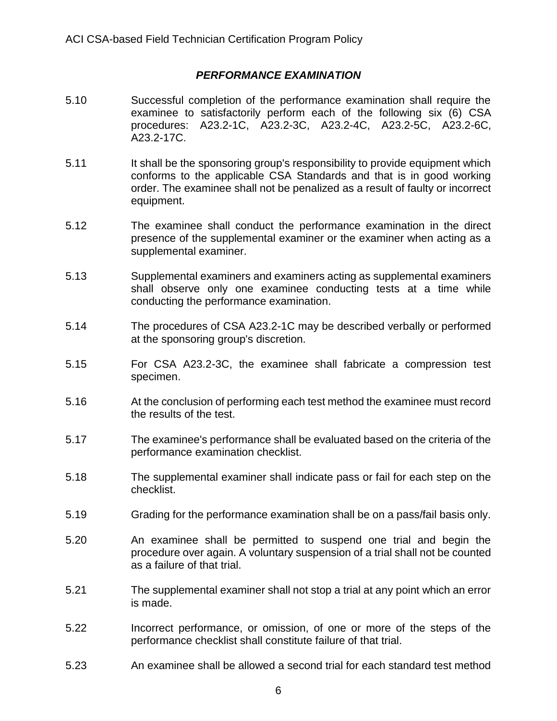# *PERFORMANCE EXAMINATION*

- 5.10 Successful completion of the performance examination shall require the examinee to satisfactorily perform each of the following six (6) CSA procedures: A23.2-1C, A23.2-3C, A23.2-4C, A23.2-5C, A23.2-6C, A23.2-17C.
- 5.11 It shall be the sponsoring group's responsibility to provide equipment which conforms to the applicable CSA Standards and that is in good working order. The examinee shall not be penalized as a result of faulty or incorrect equipment.
- 5.12 The examinee shall conduct the performance examination in the direct presence of the supplemental examiner or the examiner when acting as a supplemental examiner.
- 5.13 Supplemental examiners and examiners acting as supplemental examiners shall observe only one examinee conducting tests at a time while conducting the performance examination.
- 5.14 The procedures of CSA A23.2-1C may be described verbally or performed at the sponsoring group's discretion.
- 5.15 For CSA A23.2-3C, the examinee shall fabricate a compression test specimen.
- 5.16 At the conclusion of performing each test method the examinee must record the results of the test.
- 5.17 The examinee's performance shall be evaluated based on the criteria of the performance examination checklist.
- 5.18 The supplemental examiner shall indicate pass or fail for each step on the checklist.
- 5.19 Grading for the performance examination shall be on a pass/fail basis only.
- 5.20 An examinee shall be permitted to suspend one trial and begin the procedure over again. A voluntary suspension of a trial shall not be counted as a failure of that trial.
- 5.21 The supplemental examiner shall not stop a trial at any point which an error is made.
- 5.22 Incorrect performance, or omission, of one or more of the steps of the performance checklist shall constitute failure of that trial.
- 5.23 An examinee shall be allowed a second trial for each standard test method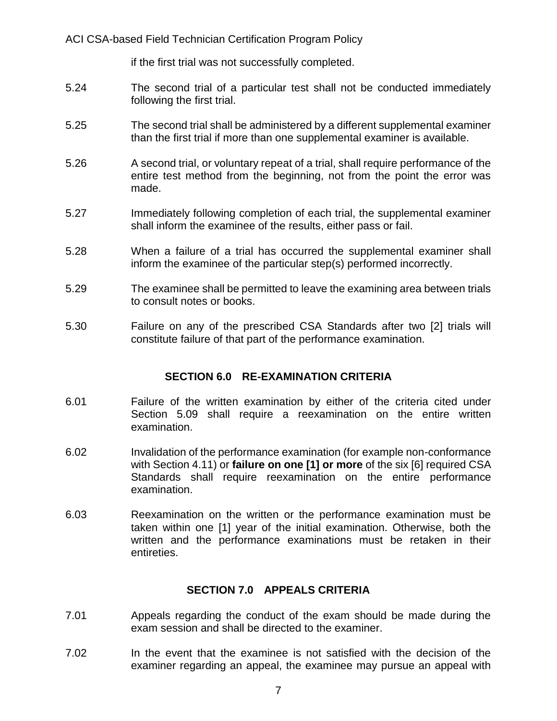ACI CSA-based Field Technician Certification Program Policy

if the first trial was not successfully completed.

- 5.24 The second trial of a particular test shall not be conducted immediately following the first trial.
- 5.25 The second trial shall be administered by a different supplemental examiner than the first trial if more than one supplemental examiner is available.
- 5.26 A second trial, or voluntary repeat of a trial, shall require performance of the entire test method from the beginning, not from the point the error was made.
- 5.27 Immediately following completion of each trial, the supplemental examiner shall inform the examinee of the results, either pass or fail.
- 5.28 When a failure of a trial has occurred the supplemental examiner shall inform the examinee of the particular step(s) performed incorrectly.
- 5.29 The examinee shall be permitted to leave the examining area between trials to consult notes or books.
- 5.30 Failure on any of the prescribed CSA Standards after two [2] trials will constitute failure of that part of the performance examination.

### **SECTION 6.0 RE-EXAMINATION CRITERIA**

- 6.01 Failure of the written examination by either of the criteria cited under Section 5.09 shall require a reexamination on the entire written examination.
- 6.02 Invalidation of the performance examination (for example non-conformance with Section 4.11) or **failure on one [1] or more** of the six [6] required CSA Standards shall require reexamination on the entire performance examination.
- 6.03 Reexamination on the written or the performance examination must be taken within one [1] year of the initial examination. Otherwise, both the written and the performance examinations must be retaken in their entireties.

### **SECTION 7.0 APPEALS CRITERIA**

- 7.01 Appeals regarding the conduct of the exam should be made during the exam session and shall be directed to the examiner.
- 7.02 In the event that the examinee is not satisfied with the decision of the examiner regarding an appeal, the examinee may pursue an appeal with